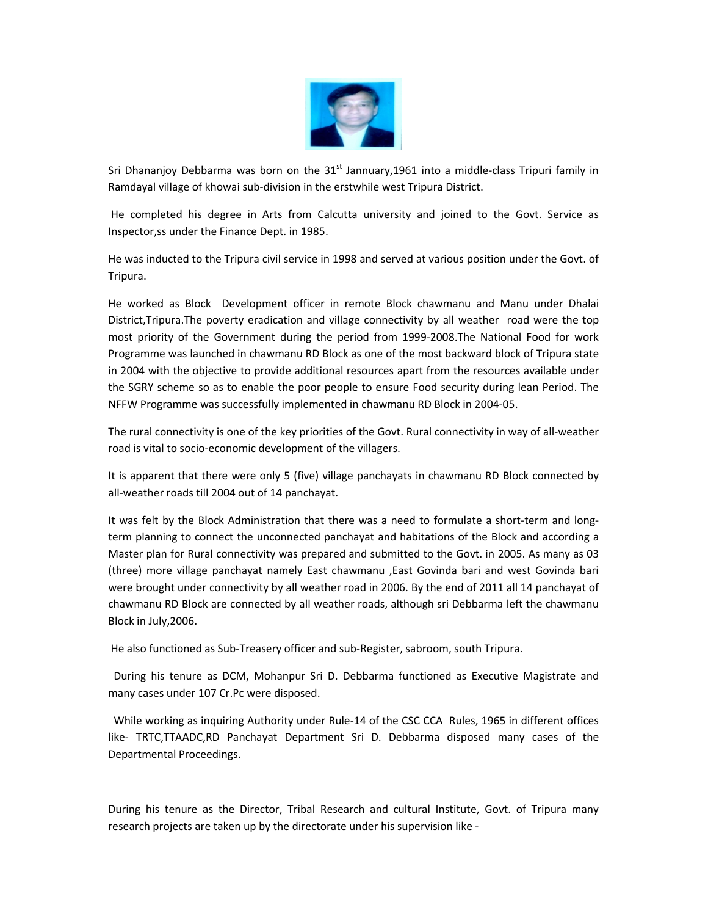

Sri Dhananjoy Debbarma was born on the 31<sup>st</sup> Jannuary, 1961 into a middle-class Tripuri family in Ramdayal village of khowai sub-division in the erstwhile west Tripura District.

He completed his degree in Arts from Calcutta university and joined to the Govt. Service as Inspector, ss under the Finance Dept. in 1985.

He was inducted to the Tripura civil service in 1998 and served at various position under the Govt. of Tripura.

He worked as Block Development officer in remote Block chawmanu and Manu under Dhalai District, Tripura. The poverty eradication and village connectivity by all weather road were the top most priority of the Government during the period from 1999-2008. The National Food for work Programme was launched in chawmanu RD Block as one of the most backward block of Tripura state in 2004 with the objective to provide additional resources apart from the resources available under the SGRY scheme so as to enable the poor people to ensure Food security during lean Period. The NFFW Programme was successfully implemented in chawmanu RD Block in 2004-05.

The rural connectivity is one of the key priorities of the Govt. Rural connectivity in way of all-weather road is vital to socio-economic development of the villagers.

It is apparent that there were only 5 (five) village panchayats in chawmanu RD Block connected by all-weather roads till 2004 out of 14 panchayat.

It was felt by the Block Administration that there was a need to formulate a short-term and longterm planning to connect the unconnected panchayat and habitations of the Block and according a Master plan for Rural connectivity was prepared and submitted to the Govt. in 2005. As many as 03 (three) more village panchayat namely East chawmanu , East Govinda bari and west Govinda bari were brought under connectivity by all weather road in 2006. By the end of 2011 all 14 panchayat of chawmanu RD Block are connected by all weather roads, although sri Debbarma left the chawmanu Block in July, 2006.

He also functioned as Sub-Treasery officer and sub-Register, sabroom, south Tripura.

During his tenure as DCM, Mohanpur Sri D. Debbarma functioned as Executive Magistrate and many cases under 107 Cr.Pc were disposed.

While working as inquiring Authority under Rule-14 of the CSC CCA Rules, 1965 in different offices like- TRTC, TTAADC, RD Panchayat Department Sri D. Debbarma disposed many cases of the Departmental Proceedings.

During his tenure as the Director, Tribal Research and cultural Institute, Govt. of Tripura many research projects are taken up by the directorate under his supervision like -